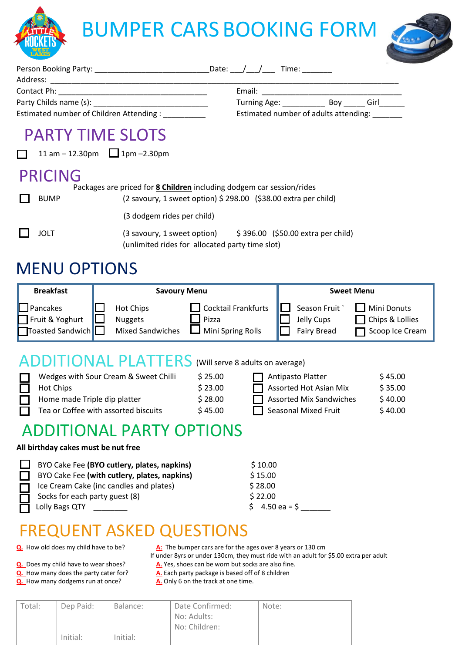

|                | Estimated number of Children Attending :                                                                          | Estimated number of adults attending: |  |
|----------------|-------------------------------------------------------------------------------------------------------------------|---------------------------------------|--|
|                | <b>PARTY TIME SLOTS</b><br>11 am $-$ 12.30pm 1pm $-$ 2.30pm                                                       |                                       |  |
| <b>PRICING</b> | Packages are priced for <b>8 Children</b> including dodgem car session/rides                                      |                                       |  |
| <b>BUMP</b>    | (2 savoury, 1 sweet option) $\frac{2}{3}$ 298.00 (\$38.00 extra per child)                                        |                                       |  |
|                | (3 dodgem rides per child)                                                                                        |                                       |  |
| JOLT           | (3 savoury, 1 sweet option) \$396.00 (\$50.00 extra per child)<br>(unlimited rides for allocated party time slot) |                                       |  |

## MENU OPTIONS

| <b>Breakfast</b>                                               | <b>Savoury Menu</b>                                                                                                | <b>Sweet Menu</b>                                                                                              |
|----------------------------------------------------------------|--------------------------------------------------------------------------------------------------------------------|----------------------------------------------------------------------------------------------------------------|
| $\Box$ Pancakes<br>Fruit & Yoghurt<br><b>T</b> oasted Sandwich | Cocktail Frankfurts<br><b>Hot Chips</b><br>Pizza<br><b>Nuggets</b><br><b>Mixed Sandwiches</b><br>Mini Spring Rolls | <b>Mini Donuts</b><br>Season Fruit<br>□ Chips & Lollies<br>Jelly Cups<br>Scoop Ice Cream<br><b>Fairy Bread</b> |

### ADDITIONAL PLATTERS (Will serve 8 adults on average)

| Wedges with Sour Cream & Sweet Chilli       | \$25.00 | $\Box$ Antipasto Platter       | \$45.00 |
|---------------------------------------------|---------|--------------------------------|---------|
| <b>Hot Chips</b>                            | \$23.00 | $\Box$ Assorted Hot Asian Mix  | \$35.00 |
| Home made Triple dip platter                | \$28.00 | $\Box$ Assorted Mix Sandwiches | \$40.00 |
| $\Box$ Tea or Coffee with assorted biscuits | \$45.00 | Seasonal Mixed Fruit           | \$40.00 |

## ADDITIONAL PARTY OPTIONS

#### **All birthday cakes must be nut free**

| BYO Cake Fee (BYO cutlery, plates, napkins)  | \$10.00                       |
|----------------------------------------------|-------------------------------|
| BYO Cake Fee (with cutlery, plates, napkins) | \$15.00                       |
| Ice Cream Cake (inc candles and plates)      | \$28.00                       |
| Socks for each party guest (8)               | \$22.00                       |
| Lolly Bags QTY                               | $5 \quad 4.50 \text{ ea} = 5$ |

## FREQUENT ASKED QUESTIONS

**Q.** How old does my child have to be? **A:** The bumper cars are for the ages over 8 years or 130 cm

If under 8yrs or under 130cm, they must ride with an adult for \$5.00 extra per adult

- **Q.** Does my child have to wear shoes? **A.** Yes, shoes can be worn but socks are also fine.
- **Q.** How many does the party cater for? **A.** Each party package is based off of 8 children **Q.** How many dodgems run at once? **A.** Only 6 on the track at one time. **Q.** How many dodgems run at once?
	-

| Total: | Dep Paid: | Balance: | Date Confirmed:<br>No: Adults:<br>No: Children: | Note: |
|--------|-----------|----------|-------------------------------------------------|-------|
|        | Initial:  | Initial: |                                                 |       |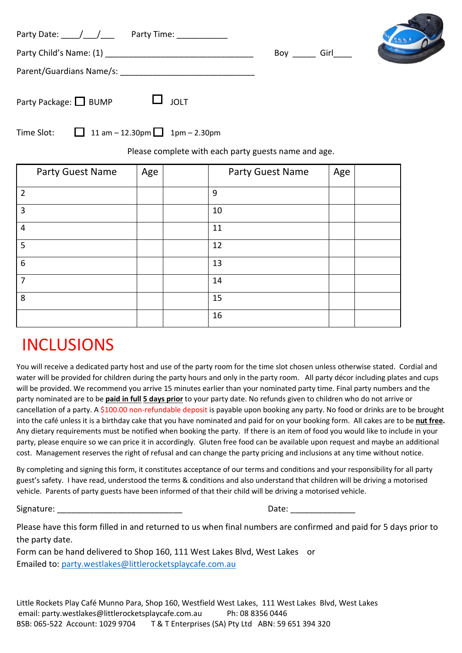| Party Date: $\_\_\_\_\_\_\_\_\$ | Party Time: ___________ | Boy | Girl |  |
|---------------------------------|-------------------------|-----|------|--|
| Parent/Guardians Name/s:        |                         |     |      |  |
| Party Package: BUMP             | $\Box$ JOLT             |     |      |  |

| Time Slot: | 11 am - 12.30pm 1pm - 2.30pm |  |
|------------|------------------------------|--|
|------------|------------------------------|--|

Please complete with each party guests name and age.

| Party Guest Name        | Age | Party Guest Name | Age |  |
|-------------------------|-----|------------------|-----|--|
| $\overline{2}$          |     | 9                |     |  |
| 3                       |     | 10               |     |  |
| $\overline{\mathbf{4}}$ |     | 11               |     |  |
| 5                       |     | 12               |     |  |
| 6                       |     | 13               |     |  |
| $\overline{7}$          |     | 14               |     |  |
| 8                       |     | 15               |     |  |
|                         |     | 16               |     |  |

## INCLUSIONS

You will receive a dedicated party host and use of the party room for the time slot chosen unless otherwise stated. Cordial and water will be provided for children during the party hours and only in the party room. All party décor including plates and cups will be provided. We recommend you arrive 15 minutes earlier than your nominated party time. Final party numbers and the party nominated are to be **paid in full 5 days prior** to your party date. No refunds given to children who do not arrive or cancellation of a party. A \$100.00 non-refundable deposit is payable upon booking any party. No food or drinks are to be brought into the café unless it is a birthday cake that you have nominated and paid for on your booking form. All cakes are to be **nut free.** Any dietary requirements must be notified when booking the party. If there is an item of food you would like to include in your party, please enquire so we can price it in accordingly. Gluten free food can be available upon request and maybe an additional cost. Management reserves the right of refusal and can change the party pricing and inclusions at any time without notice.

By completing and signing this form, it constitutes acceptance of our terms and conditions and your responsibility for all party guest's safety. I have read, understood the terms & conditions and also understand that children will be driving a motorised vehicle. Parents of party guests have been informed of that their child will be driving a motorised vehicle.

Signature:

| Date: |  |  |  |  |
|-------|--|--|--|--|
|       |  |  |  |  |

Please have this form filled in and returned to us when final numbers are confirmed and paid for 5 days prior to the party date.

Form can be hand delivered to Shop 160, 111 West Lakes Blvd, West Lakes or Emailed to: [party.westlakes@littlerocketsplaycafe.com.au](mailto:party.westlakes@littlerocketsplaycafe.com.au)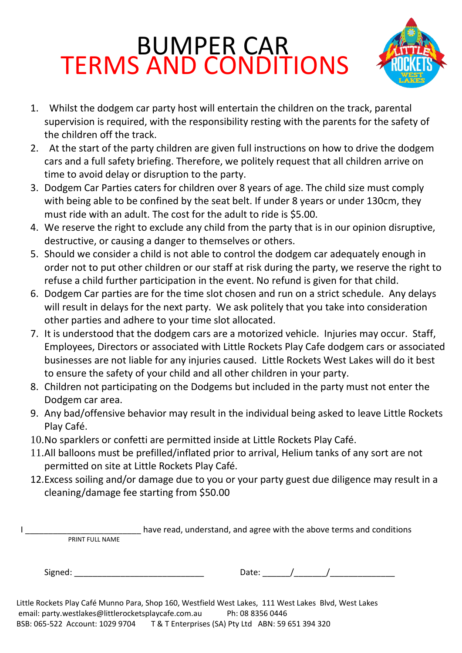# BUMPER CAR TERMS AND CONDITIONS



- 1. Whilst the dodgem car party host will entertain the children on the track, parental supervision is required, with the responsibility resting with the parents for the safety of the children off the track.
- 2. At the start of the party children are given full instructions on how to drive the dodgem cars and a full safety briefing. Therefore, we politely request that all children arrive on time to avoid delay or disruption to the party.
- 3. Dodgem Car Parties caters for children over 8 years of age. The child size must comply with being able to be confined by the seat belt. If under 8 years or under 130cm, they must ride with an adult. The cost for the adult to ride is \$5.00.
- 4. We reserve the right to exclude any child from the party that is in our opinion disruptive, destructive, or causing a danger to themselves or others.
- 5. Should we consider a child is not able to control the dodgem car adequately enough in order not to put other children or our staff at risk during the party, we reserve the right to refuse a child further participation in the event. No refund is given for that child.
- 6. Dodgem Car parties are for the time slot chosen and run on a strict schedule. Any delays will result in delays for the next party. We ask politely that you take into consideration other parties and adhere to your time slot allocated.
- 7. It is understood that the dodgem cars are a motorized vehicle. Injuries may occur. Staff, Employees, Directors or associated with Little Rockets Play Cafe dodgem cars or associated businesses are not liable for any injuries caused. Little Rockets West Lakes will do it best to ensure the safety of your child and all other children in your party.
- 8. Children not participating on the Dodgems but included in the party must not enter the Dodgem car area.
- 9. Any bad/offensive behavior may result in the individual being asked to leave Little Rockets Play Café.
- 10.No sparklers or confetti are permitted inside at Little Rockets Play Café.
- 11.All balloons must be prefilled/inflated prior to arrival, Helium tanks of any sort are not permitted on site at Little Rockets Play Café.
- 12.Excess soiling and/or damage due to you or your party guest due diligence may result in a cleaning/damage fee starting from \$50.00

I **I** consider the vertex have read, understand, and agree with the above terms and conditions PRINT FULL NAME

| $\cdots$ |  |
|----------|--|
|          |  |

Little Rockets Play Café Munno Para, Shop 160, Westfield West Lakes, 111 West Lakes Blvd, West Lakes email: party.westlakes@littlerocketsplaycafe.com.au Ph: 08 8356 0446 BSB: 065-522 Account: 1029 9704 T & T Enterprises (SA) Pty Ltd ABN: 59 651 394 320